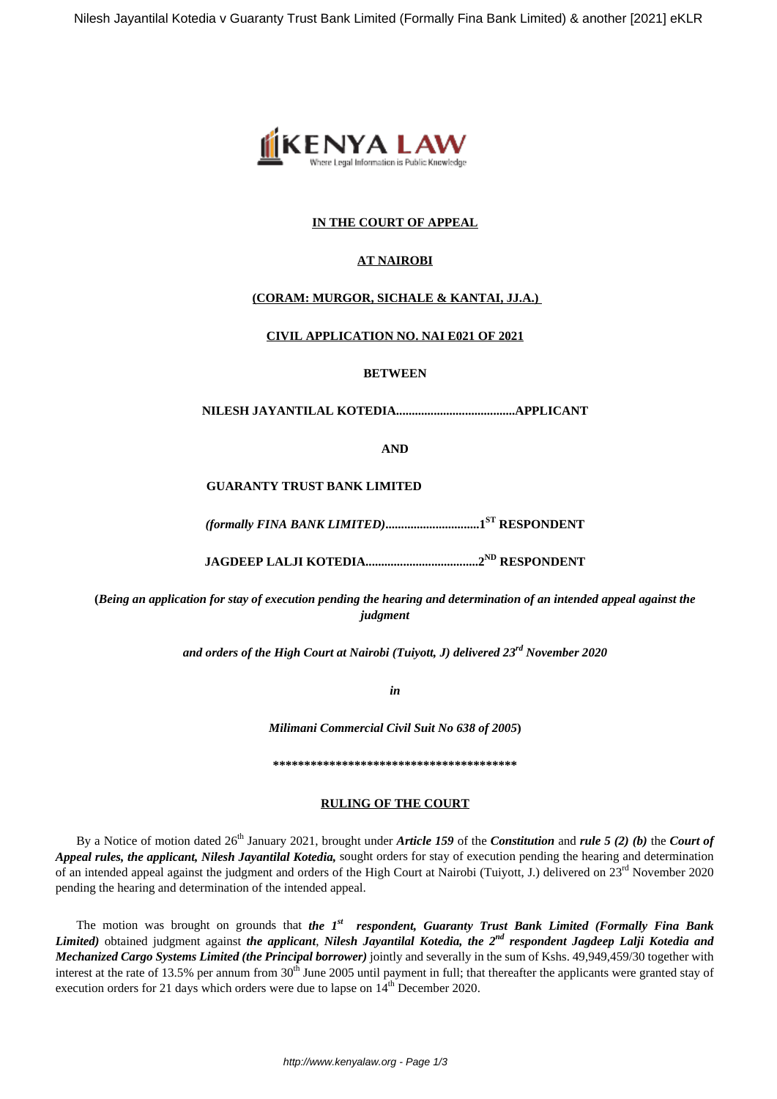

# **IN THE COURT OF APPEAL**

# **AT NAIROBI**

## **(CORAM: MURGOR, SICHALE & KANTAI, JJ.A.)**

### **CIVIL APPLICATION NO. NAI E021 OF 2021**

### **BETWEEN**

**NILESH JAYANTILAL KOTEDIA......................................APPLICANT**

**AND**

#### **GUARANTY TRUST BANK LIMITED**

*(formally FINA BANK LIMITED)***..............................1ST RESPONDENT**

**JAGDEEP LALJI KOTEDIA....................................2ND RESPONDENT**

**(***Being an application for stay of execution pending the hearing and determination of an intended appeal against the judgment*

*and orders of the High Court at Nairobi (Tuiyott, J) delivered 23rd November 2020*

*in*

*Milimani Commercial Civil Suit No 638 of 2005***)**

**\*\*\*\*\*\*\*\*\*\*\*\*\*\*\*\*\*\*\*\*\*\*\*\*\*\*\*\*\*\*\*\*\*\*\*\*\*\*\***

### **RULING OF THE COURT**

By a Notice of motion dated 26th January 2021, brought under *Article 159* of the *Constitution* and *rule 5 (2) (b)* the *Court of Appeal rules, the applicant, Nilesh Jayantilal Kotedia,* sought orders for stay of execution pending the hearing and determination of an intended appeal against the judgment and orders of the High Court at Nairobi (Tuiyott, J.) delivered on 23<sup>rd</sup> November 2020 pending the hearing and determination of the intended appeal.

The motion was brought on grounds that *the 1st respondent, Guaranty Trust Bank Limited (Formally Fina Bank Limited)* obtained judgment against *the applicant*, *Nilesh Jayantilal Kotedia, the 2nd respondent Jagdeep Lalji Kotedia and Mechanized Cargo Systems Limited (the Principal borrower)* jointly and severally in the sum of Kshs. 49,949,459/30 together with interest at the rate of 13.5% per annum from  $30<sup>th</sup>$  June 2005 until payment in full; that thereafter the applicants were granted stay of execution orders for 21 days which orders were due to lapse on  $14^{th}$  December 2020.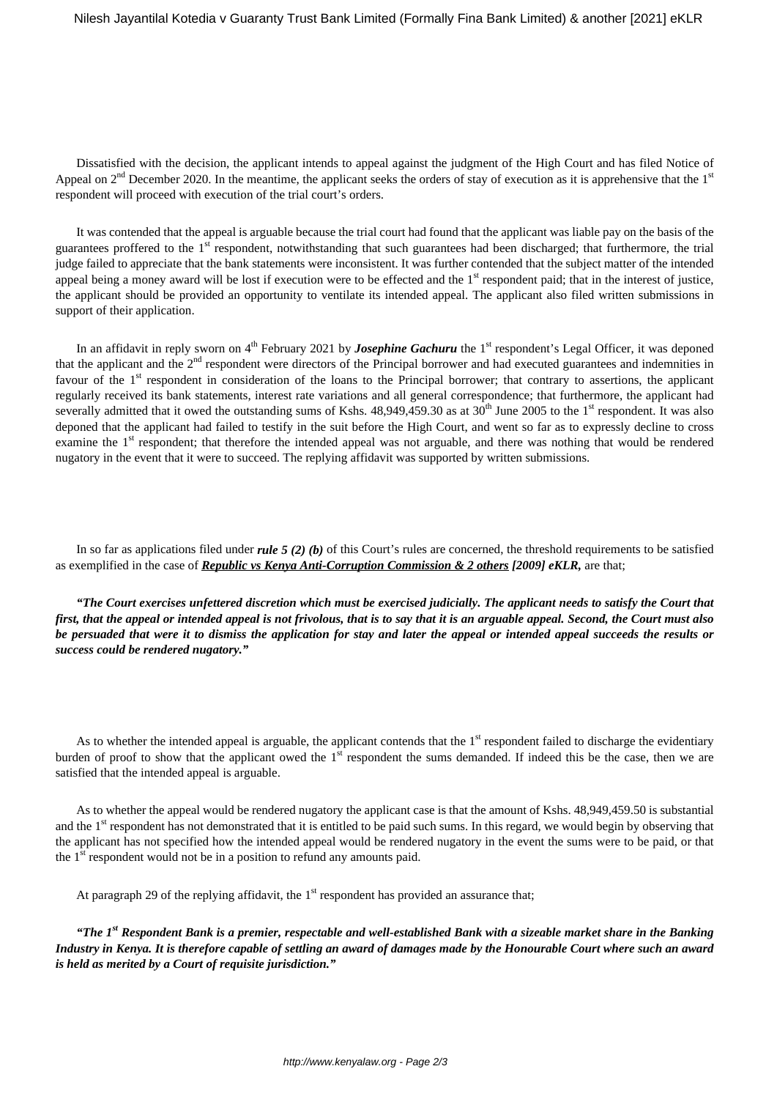Dissatisfied with the decision, the applicant intends to appeal against the judgment of the High Court and has filed Notice of Appeal on  $2<sup>nd</sup>$  December 2020. In the meantime, the applicant seeks the orders of stay of execution as it is apprehensive that the 1<sup>st</sup> respondent will proceed with execution of the trial court's orders.

It was contended that the appeal is arguable because the trial court had found that the applicant was liable pay on the basis of the guarantees proffered to the 1<sup>st</sup> respondent, notwithstanding that such guarantees had been discharged; that furthermore, the trial judge failed to appreciate that the bank statements were inconsistent. It was further contended that the subject matter of the intended appeal being a money award will be lost if execution were to be effected and the 1<sup>st</sup> respondent paid; that in the interest of justice, the applicant should be provided an opportunity to ventilate its intended appeal. The applicant also filed written submissions in support of their application.

In an affidavit in reply sworn on 4<sup>th</sup> February 2021 by *Josephine Gachuru* the 1<sup>st</sup> respondent's Legal Officer, it was deponed that the applicant and the 2<sup>nd</sup> respondent were directors of the Principal borrower and had executed guarantees and indemnities in favour of the 1<sup>st</sup> respondent in consideration of the loans to the Principal borrower; that contrary to assertions, the applicant regularly received its bank statements, interest rate variations and all general correspondence; that furthermore, the applicant had severally admitted that it owed the outstanding sums of Kshs. 48,949,459.30 as at 30<sup>th</sup> June 2005 to the 1<sup>st</sup> respondent. It was also deponed that the applicant had failed to testify in the suit before the High Court, and went so far as to expressly decline to cross examine the 1<sup>st</sup> respondent; that therefore the intended appeal was not arguable, and there was nothing that would be rendered nugatory in the event that it were to succeed. The replying affidavit was supported by written submissions.

In so far as applications filed under *rule 5 (2) (b)* of this Court's rules are concerned, the threshold requirements to be satisfied as exemplified in the case of *Republic vs Kenya Anti-Corruption Commission & 2 others [2009] eKLR,* are that;

*"The Court exercises unfettered discretion which must be exercised judicially. The applicant needs to satisfy the Court that first, that the appeal or intended appeal is not frivolous, that is to say that it is an arguable appeal. Second, the Court must also be persuaded that were it to dismiss the application for stay and later the appeal or intended appeal succeeds the results or success could be rendered nugatory."*

As to whether the intended appeal is arguable, the applicant contends that the  $1<sup>st</sup>$  respondent failed to discharge the evidentiary burden of proof to show that the applicant owed the  $1<sup>st</sup>$  respondent the sums demanded. If indeed this be the case, then we are satisfied that the intended appeal is arguable.

As to whether the appeal would be rendered nugatory the applicant case is that the amount of Kshs. 48,949,459.50 is substantial and the 1<sup>st</sup> respondent has not demonstrated that it is entitled to be paid such sums. In this regard, we would begin by observing that the applicant has not specified how the intended appeal would be rendered nugatory in the event the sums were to be paid, or that the  $1<sup>st</sup>$  respondent would not be in a position to refund any amounts paid.

At paragraph 29 of the replying affidavit, the  $1<sup>st</sup>$  respondent has provided an assurance that;

*"The 1st Respondent Bank is a premier, respectable and well-established Bank with a sizeable market share in the Banking Industry in Kenya. It is therefore capable of settling an award of damages made by the Honourable Court where such an award is held as merited by a Court of requisite jurisdiction."*